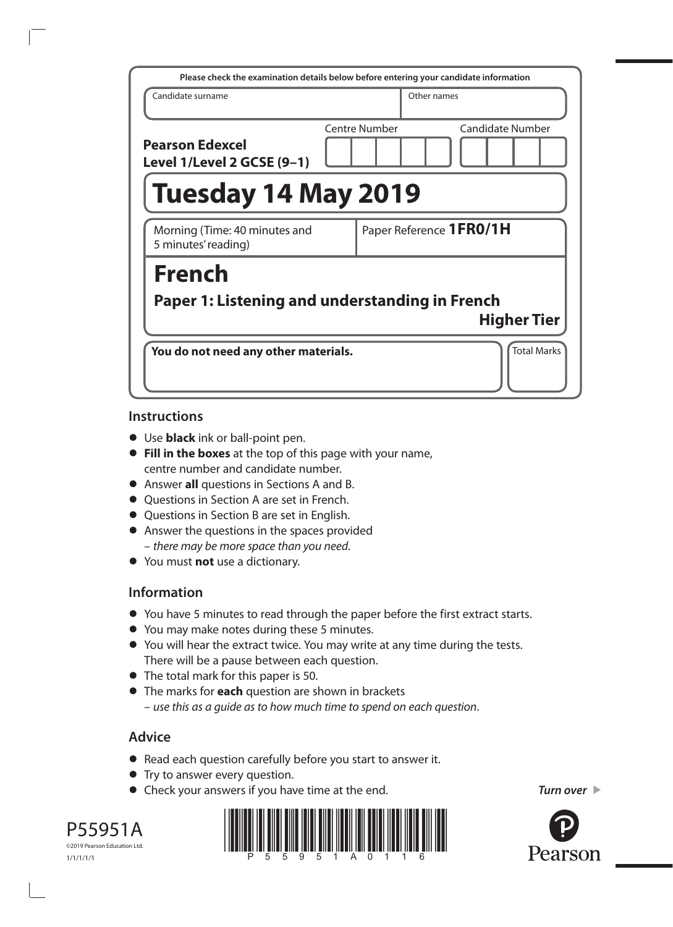| Please check the examination details below before entering your candidate information |                                          |
|---------------------------------------------------------------------------------------|------------------------------------------|
| Candidate surname                                                                     | Other names                              |
| <b>Pearson Edexcel</b><br>Level 1/Level 2 GCSE (9-1)                                  | Centre Number<br><b>Candidate Number</b> |
| <b>Tuesday 14 May 2019</b>                                                            |                                          |
| Morning (Time: 40 minutes and<br>5 minutes' reading)                                  | Paper Reference 1FR0/1H                  |
| <b>French</b>                                                                         |                                          |
| Paper 1: Listening and understanding in French                                        | <b>Higher Tier</b>                       |
| You do not need any other materials.                                                  | <b>Total Marks</b>                       |

#### **Instructions**

- **•** Use **black** ink or ball-point pen.
- **• Fill in the boxes** at the top of this page with your name, centre number and candidate number.
- **•** Answer **all** questions in Sections A and B.
- **•** Questions in Section A are set in French.
- **•** Questions in Section B are set in English.
- **•** Answer the questions in the spaces provided – *there may be more space than you need*.
- **•** You must **not** use a dictionary.

### **Information**

- **•** You have 5 minutes to read through the paper before the first extract starts.
- **•** You may make notes during these 5 minutes.
- **•** You will hear the extract twice. You may write at any time during the tests. There will be a pause between each question.
- **•** The total mark for this paper is 50.
- **•** The marks for **each** question are shown in brackets – *use this as a guide as to how much time to spend on each question*.

## **Advice**

- **•** Read each question carefully before you start to answer it.
- **•** Try to answer every question.
- **•** Check your answers if you have time at the end.





*Turn over* 

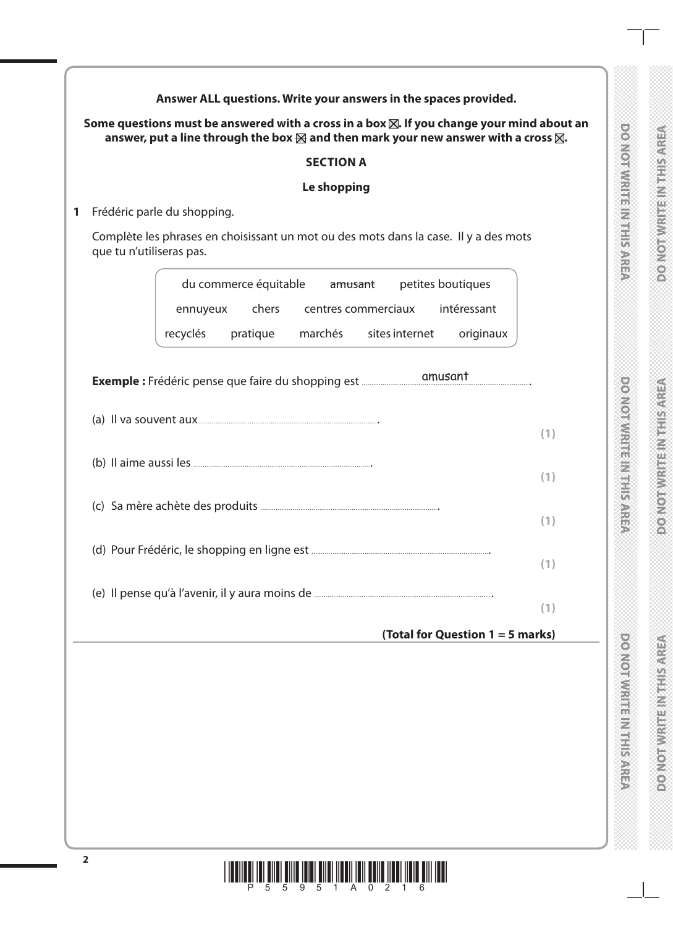| Answer ALL questions. Write your answers in the spaces provided.<br>Some questions must be answered with a cross in a box $\boxtimes$ . If you change your mind about an<br>answer, put a line through the box $\boxtimes$ and then mark your new answer with a cross $\boxtimes$ . |     |                                           |                               |
|-------------------------------------------------------------------------------------------------------------------------------------------------------------------------------------------------------------------------------------------------------------------------------------|-----|-------------------------------------------|-------------------------------|
| <b>SECTION A</b>                                                                                                                                                                                                                                                                    |     |                                           |                               |
| Le shopping                                                                                                                                                                                                                                                                         |     |                                           |                               |
| Frédéric parle du shopping.<br>1                                                                                                                                                                                                                                                    |     |                                           |                               |
| Complète les phrases en choisissant un mot ou des mots dans la case. Il y a des mots<br>que tu n'utiliseras pas.                                                                                                                                                                    |     | <b>PONORANE IN EARLY AND LOTE</b>         |                               |
| du commerce équitable<br>petites boutiques<br><del>amusant</del><br>chers<br>intéressant<br>centres commerciaux<br>ennuyeux<br>recyclés<br>pratique<br>marchés<br>sites internet<br>originaux                                                                                       |     |                                           |                               |
| Exemple : Frédéric pense que faire du shopping est communicant                                                                                                                                                                                                                      |     |                                           |                               |
|                                                                                                                                                                                                                                                                                     | (1) |                                           |                               |
|                                                                                                                                                                                                                                                                                     | (1) |                                           |                               |
|                                                                                                                                                                                                                                                                                     | (1) |                                           |                               |
|                                                                                                                                                                                                                                                                                     | (1) |                                           |                               |
|                                                                                                                                                                                                                                                                                     | (1) |                                           |                               |
| (Total for Question 1 = 5 marks)                                                                                                                                                                                                                                                    |     |                                           |                               |
|                                                                                                                                                                                                                                                                                     |     | <b>DO NOTE AN ESTATE REPORTS OF STATE</b> | <b>RESIDENT AND RESIDENCE</b> |
| $\overline{\mathbf{2}}$                                                                                                                                                                                                                                                             |     |                                           |                               |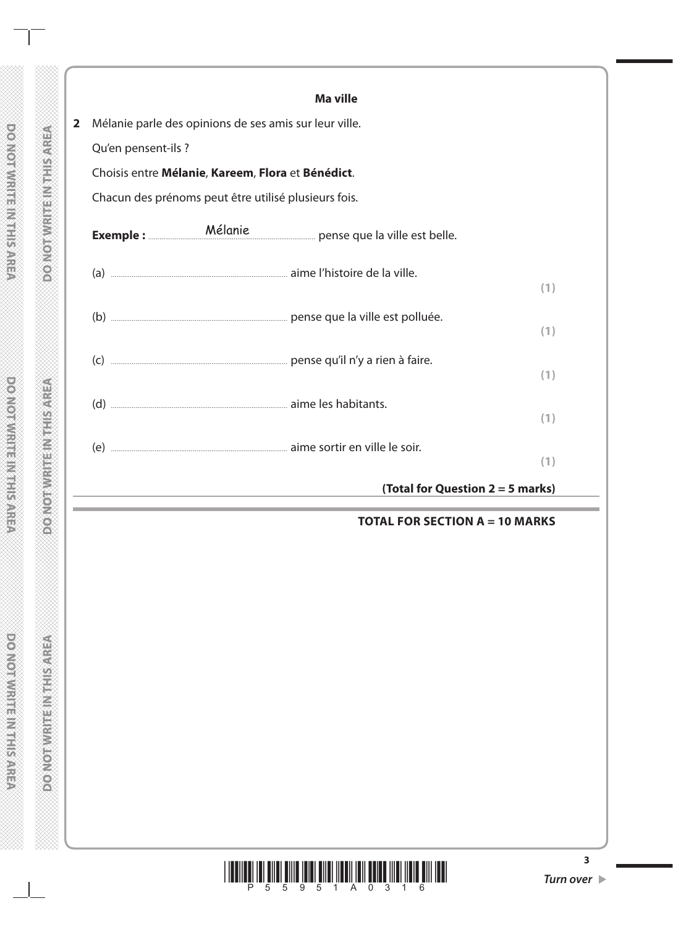|                     |                                                        | <b>Ma ville</b>                                            |     |
|---------------------|--------------------------------------------------------|------------------------------------------------------------|-----|
|                     | Mélanie parle des opinions de ses amis sur leur ville. |                                                            |     |
| Qu'en pensent-ils ? |                                                        |                                                            |     |
|                     | Choisis entre Mélanie, Kareem, Flora et Bénédict.      |                                                            |     |
|                     | Chacun des prénoms peut être utilisé plusieurs fois.   |                                                            |     |
|                     |                                                        | Exemple : Mélanie Melonie en pense que la ville est belle. |     |
|                     |                                                        |                                                            |     |
|                     |                                                        |                                                            | (1) |
|                     |                                                        |                                                            |     |
|                     |                                                        |                                                            | (1) |
|                     |                                                        |                                                            | (1) |
|                     |                                                        |                                                            |     |
|                     |                                                        |                                                            | (1) |
|                     |                                                        |                                                            | (1) |
|                     |                                                        | (Total for Question 2 = 5 marks)                           |     |
|                     |                                                        | <b>TOTAL FOR SECTION A = 10 MARKS</b>                      |     |
|                     |                                                        |                                                            |     |
|                     |                                                        |                                                            |     |
|                     |                                                        |                                                            |     |
|                     |                                                        |                                                            |     |
|                     |                                                        |                                                            |     |
|                     |                                                        |                                                            |     |
|                     |                                                        |                                                            |     |
|                     |                                                        |                                                            |     |
|                     |                                                        |                                                            |     |
|                     |                                                        |                                                            |     |
|                     |                                                        |                                                            |     |
|                     |                                                        |                                                            |     |

DOMOTWRITEINTHISAREA

.<br>Tillid

 $\Box\Box$ 

**DONOTWRITEINTHISAREA**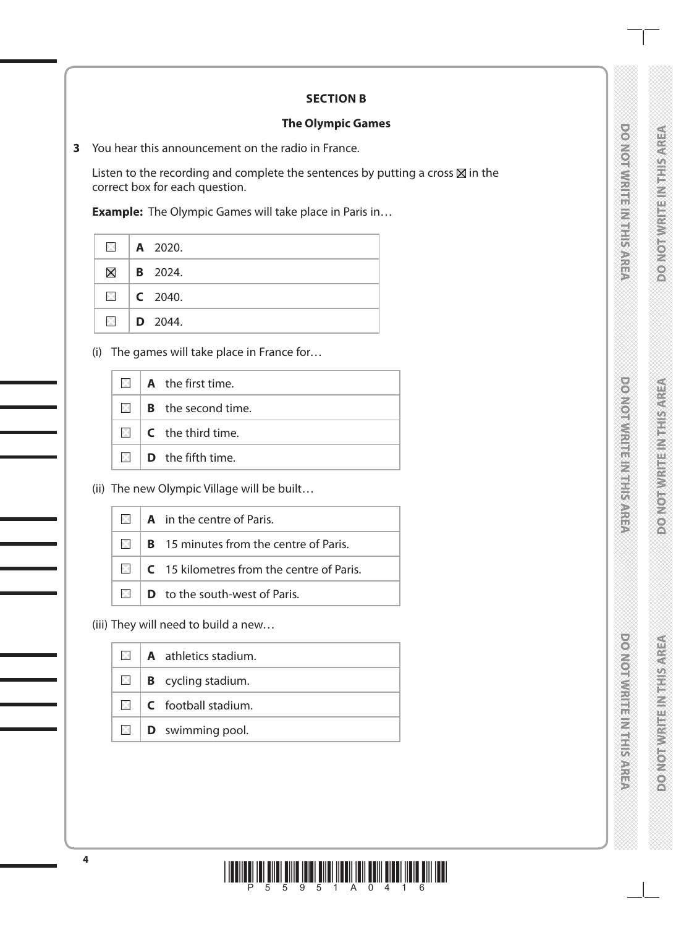### **SECTION B**

#### **The Olympic Games**

#### **3** You hear this announcement on the radio in France.

Listen to the recording and complete the sentences by putting a cross  $\boxtimes$  in the correct box for each question.

**Example:** The Olympic Games will take place in Paris in…

|             | $\blacksquare$   A 2020. |
|-------------|--------------------------|
| $\boxtimes$ | $\vert$ <b>B</b> 2024.   |
|             | $\Box$   C 2040.         |
|             | $\boxtimes$ D 2044.      |

(i) The games will take place in France for…

|  | $\Box$   <b>A</b> the first time.                   |
|--|-----------------------------------------------------|
|  | $\boxtimes$ <b>B</b> the second time.               |
|  | $\Box$ <b>C</b> the third time.                     |
|  | $\boxtimes$ $\blacksquare$ <b>D</b> the fifth time. |

(ii) The new Olympic Village will be built…

|  | $\boxtimes$   <b>A</b> in the centre of Paris.              |
|--|-------------------------------------------------------------|
|  | $\boxtimes$   <b>B</b> 15 minutes from the centre of Paris. |
|  | $\Box$ <b>C</b> 15 kilometres from the centre of Paris.     |
|  | $\Box$ <b>D</b> to the south-west of Paris.                 |

(iii) They will need to build a new…

|  | $\blacksquare$   <b>A</b> athletics stadium.   |
|--|------------------------------------------------|
|  | $\mathbb{Z}$   <b>B</b> cycling stadium.       |
|  | $\boxtimes$ $\blacksquare$ C football stadium. |
|  | $\Box$ <b>D</b> swimming pool.                 |



**PLOTAGE IN ALSO AND TO A REPAIR** 

**PERMIT AND ARRIVE STATES** 

**DOMORATEMENT SAMP** 

**DOMORWRITE INSTITUTES** 

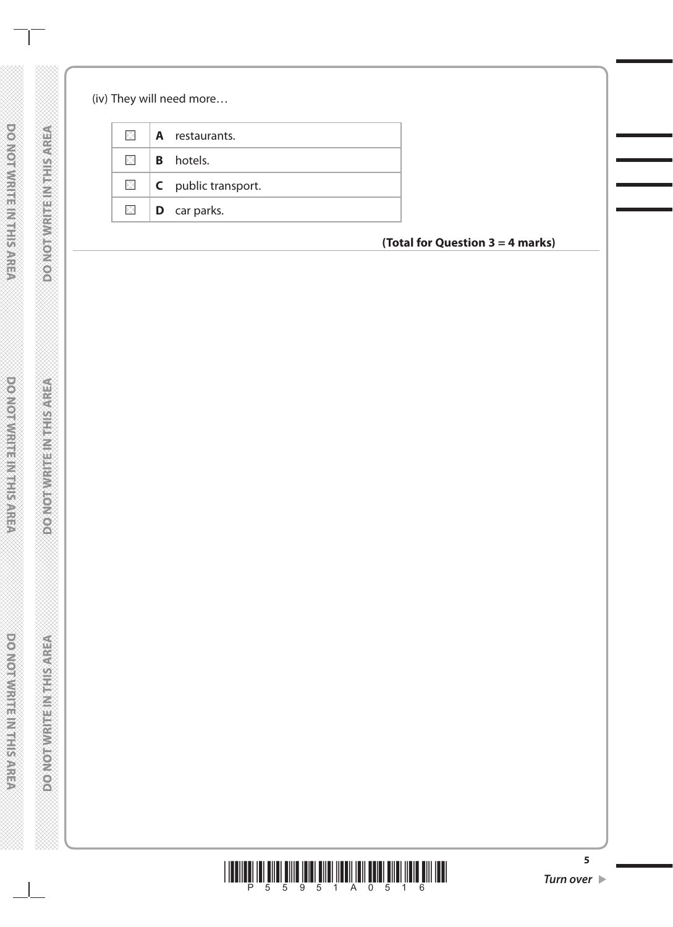(iv) They will need more…

| $\boxtimes$   A restaurants.      |
|-----------------------------------|
| $\boxtimes$ <b>B</b> hotels.      |
| $\Box$ <b>C</b> public transport. |
| $\Box$ <b>D</b> car parks.        |
|                                   |

**(Total for Question 3 = 4 marks)**



**5**

DO NOT WRITE IN THIS AREA

**DO NOTWRITEINITE SAFE** 

**DOMORATION IN THE MATCHES** 

**DO NOTWARE STARES** 

**DONOTWRITEINITHISAREA**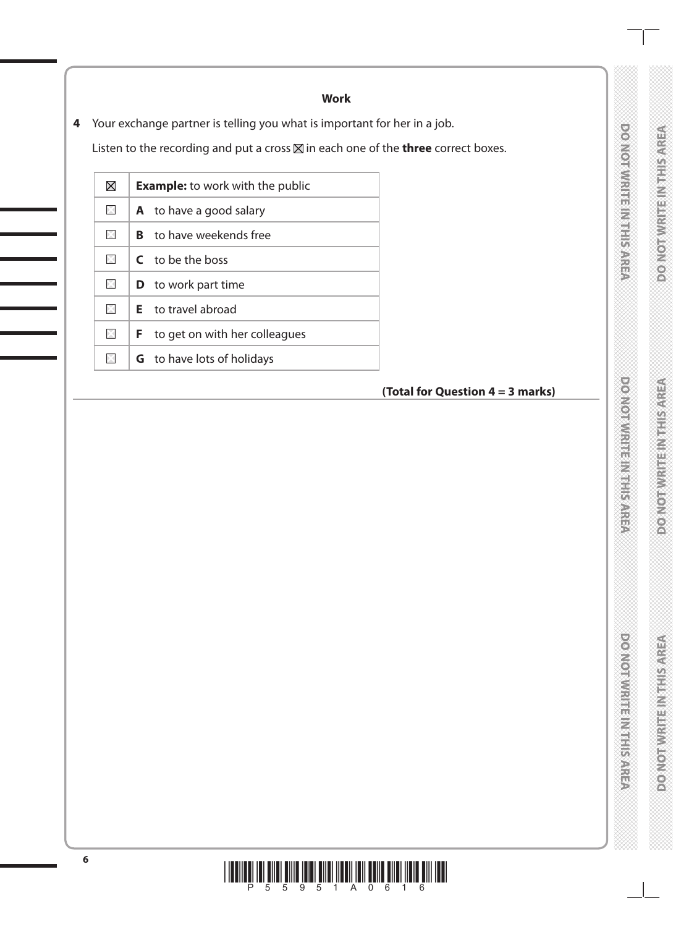**DO NOT WRITEINITIS AREA** 

**DONOTWIRTH MITHIS AREA** 

**DOMORATION FRAME IS A FIRST** 

**DOMOITIVE HE NEEDS ARE** 

**DOMOTWRITEINTHIS AREA** 

**Work**

**4** Your exchange partner is telling you what is important for her in a job. Listen to the recording and put a cross  $\boxtimes$  in each one of the **three** correct boxes.

| $\boxtimes$  | <b>Example:</b> to work with the public |
|--------------|-----------------------------------------|
| $\times$     | <b>A</b> to have a good salary          |
| $\mathbb{X}$ | to have weekends free<br>R.             |
| $\bowtie$    | $C$ to be the boss                      |
| $\bowtie$    | <b>D</b> to work part time              |
| $\boxtimes$  | $E$ to travel abroad                    |
| $\times$     | to get on with her colleagues<br>F.     |
| ÞЗ           | <b>G</b> to have lots of holidays       |

## **(Total for Question 4 = 3 marks)**

\*P55951A0616\* **<sup>6</sup>**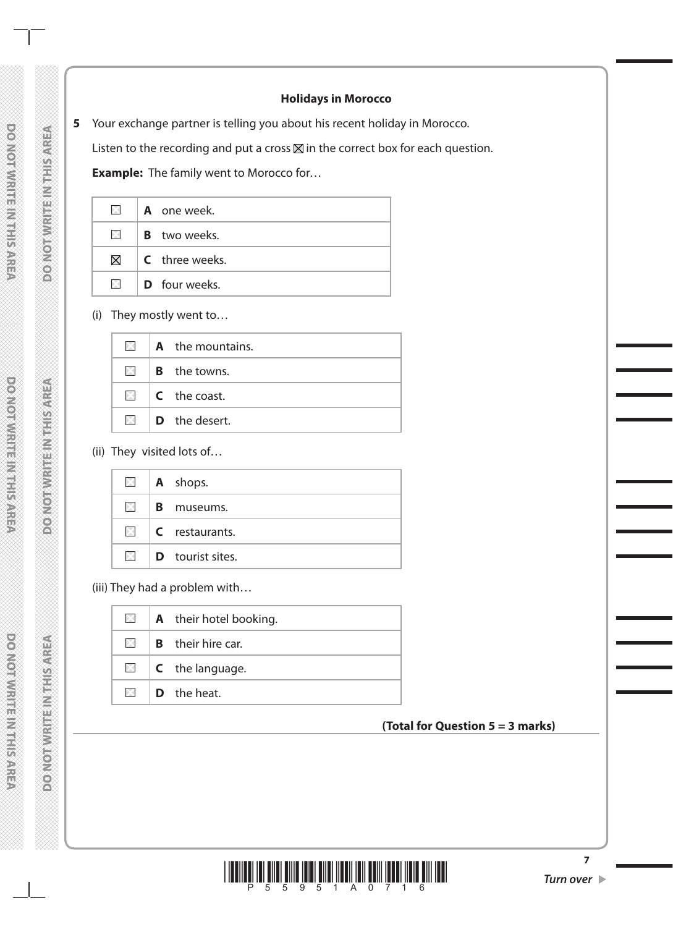#### **Holidays in Morocco**

**5** Your exchange partner is telling you about his recent holiday in Morocco.

Listen to the recording and put a cross  $\boxtimes$  in the correct box for each question.

**Example:** The family went to Morocco for…

| IX I     | A one week.               |
|----------|---------------------------|
| XI.      | <b>B</b> two weeks.       |
| $\times$ | $\mathsf{C}$ three weeks. |
| XI.      | <b>D</b> four weeks.      |

(i) They mostly went to…

| $\times$ . | <b>A</b> the mountains.      |
|------------|------------------------------|
| $\times$   | <b>B</b> the towns.          |
|            | $\Box$ <b>C</b> the coast.   |
| XI.        | $\vert$ <b>D</b> the desert. |

(ii) They visited lots of…

| $\times$   | A shops.                |
|------------|-------------------------|
| X.         | <b>B</b> museums.       |
| $\times$ . | <b>C</b> restaurants.   |
| $\times$ 1 | <b>D</b> tourist sites. |

(iii) They had a problem with…

| $\times$ .   | <b>A</b> their hotel booking.  |
|--------------|--------------------------------|
| $\mathsf{X}$ | <b>B</b> their hire car.       |
|              | $\Box$ <b>C</b> the language.  |
|              | $\boxtimes$ <b>D</b> the heat. |

**(Total for Question 5 = 3 marks)**



**7**

**DO NOTWRITEINITISAREA** 

**DOMORATE INTHIS AREA** 

**DOMOTWRITEINTHIS AREA**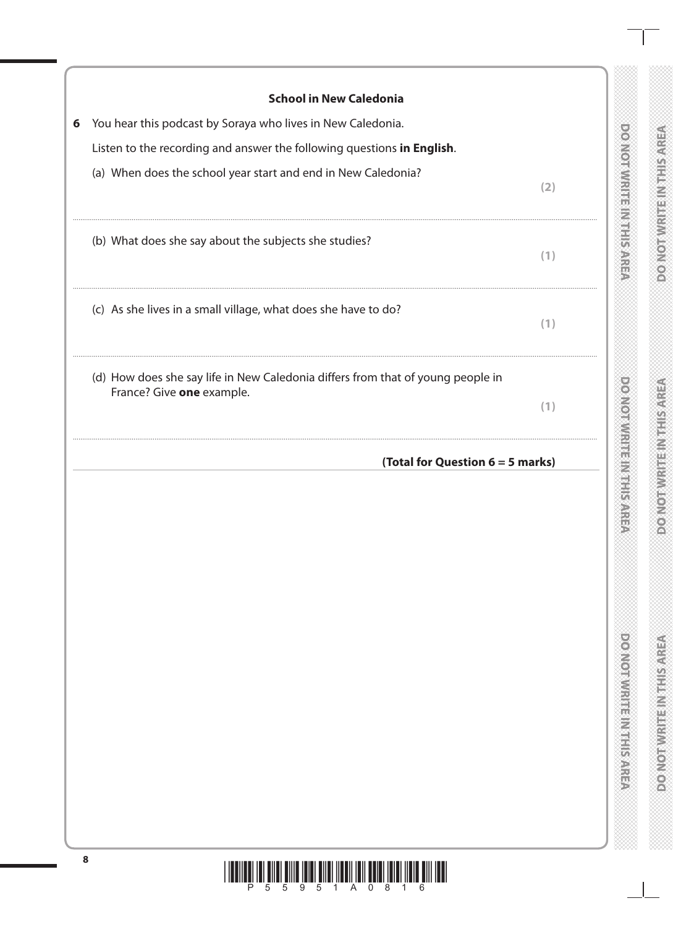|   | <b>School in New Caledonia</b>                                                                                                               |                                                              |
|---|----------------------------------------------------------------------------------------------------------------------------------------------|--------------------------------------------------------------|
| 6 | You hear this podcast by Soraya who lives in New Caledonia.                                                                                  |                                                              |
|   | Listen to the recording and answer the following questions in English.                                                                       |                                                              |
|   | (a) When does the school year start and end in New Caledonia?<br>(2)                                                                         |                                                              |
|   | (b) What does she say about the subjects she studies?<br>(1)                                                                                 | <b>PONDONAIR PRESENTATION</b>                                |
|   | (c) As she lives in a small village, what does she have to do?<br>(1)                                                                        |                                                              |
|   | (d) How does she say life in New Caledonia differs from that of young people in<br>France? Give one example.<br>(1)                          |                                                              |
|   | (Total for Question 6 = 5 marks)                                                                                                             | <b>PONDERN STREET PROVIDE</b>                                |
|   |                                                                                                                                              | <b>Do Normur Hermannships</b><br><b>PONORUGENIAN TESTARE</b> |
| 8 | ║║<br><b>THE REAL</b><br>Ш<br><b>TITLE AND A</b><br>$\parallel$<br>║<br>║║<br>║║<br>I<br>5<br>9<br>8<br>Ρ<br>5<br>5<br>0<br>Α<br>6<br>1<br>1 |                                                              |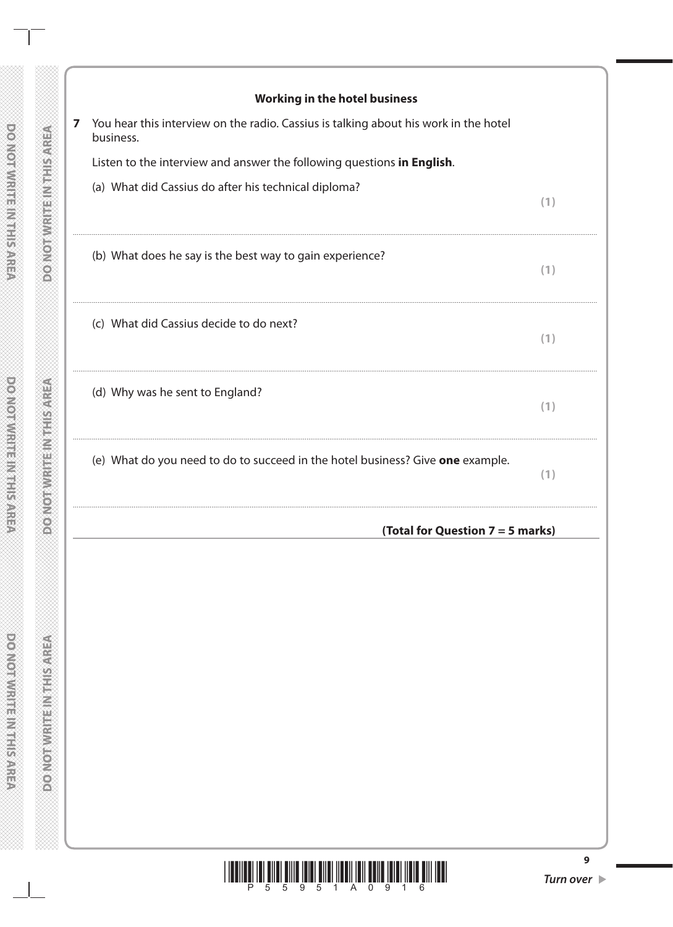| You hear this interview on the radio. Cassius is talking about his work in the hotel |                                    |
|--------------------------------------------------------------------------------------|------------------------------------|
| business.                                                                            |                                    |
| Listen to the interview and answer the following questions in English.               |                                    |
| (a) What did Cassius do after his technical diploma?                                 | (1)                                |
| (b) What does he say is the best way to gain experience?                             | (1)                                |
| (c) What did Cassius decide to do next?                                              | (1)                                |
| (d) Why was he sent to England?                                                      | (1)                                |
| (e) What do you need to do to succeed in the hotel business? Give one example.       | (1)                                |
|                                                                                      | (Total for Question $7 = 5$ marks) |
|                                                                                      |                                    |
|                                                                                      |                                    |
|                                                                                      |                                    |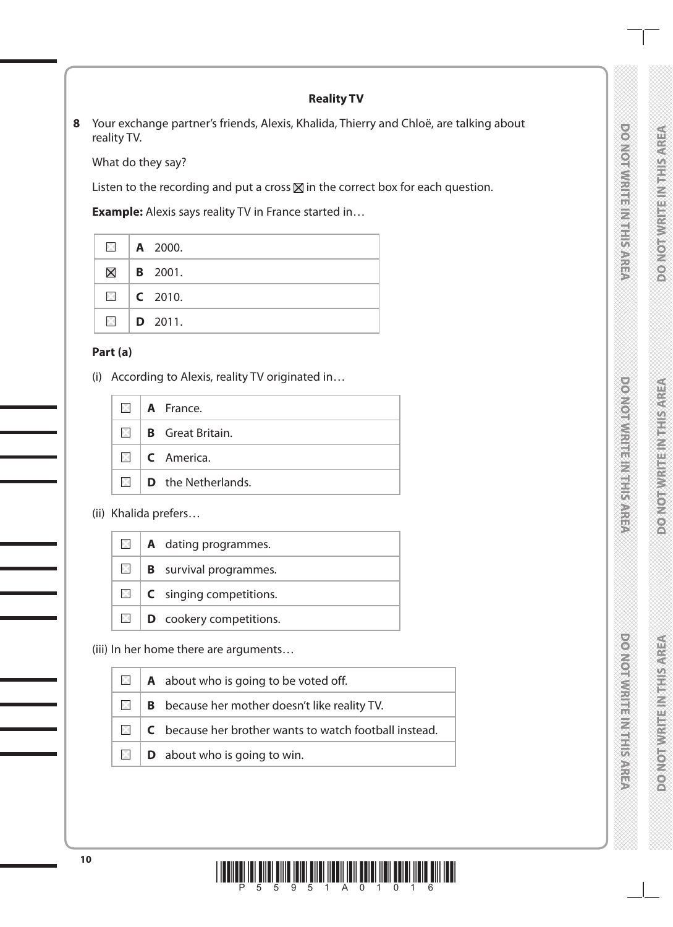**POWORMAN ENGINEERING** 

**PERMIT AND ARRIVE STATES** 

## **Reality TV**

**8** Your exchange partner's friends, Alexis, Khalida, Thierry and Chloë, are talking about reality TV.

What do they say?

Listen to the recording and put a cross  $\boxtimes$  in the correct box for each question.

**Example:** Alexis says reality TV in France started in…

| $\times$    | $A$ 2000.                                      |
|-------------|------------------------------------------------|
| $\boxtimes$ | $\vert$ <b>B</b> 2001.                         |
| $\times$    | $\begin{array}{ccc} \cdot & 2010. \end{array}$ |
| $\times$    | $\vert$ <b>D</b> 2011.                         |

#### **Part (a)**

(i) According to Alexis, reality TV originated in…

|  | $\boxtimes$   A France.               |
|--|---------------------------------------|
|  | $\boxtimes$   <b>B</b> Great Britain. |
|  | $\Box$ $\Box$ America.                |
|  | $\boxtimes$ <b>D</b> the Netherlands. |

(ii) Khalida prefers…

| $\boxtimes$ 1 | A dating programmes.                          |
|---------------|-----------------------------------------------|
| $\boxtimes$ 1 | <b>B</b> survival programmes.                 |
|               | $\mathbb{Z}$   <b>C</b> singing competitions. |
| $\boxtimes$ 1 | <b>D</b> cookery competitions.                |

(iii) In her home there are arguments…

| $\mathbb{X}$   | <b>A</b> about who is going to be voted off.                              |
|----------------|---------------------------------------------------------------------------|
| $\mathbb{X}$ i | <b>B</b> because her mother doesn't like reality TV.                      |
|                | $\Box$ $\Box$ $\Box$ because her brother wants to watch football instead. |
|                | $\Box$ <b>D</b> about who is going to win.                                |

**DOMORWRITE INSTITUTES** 

**DOMORWRITENMIEISARES** 

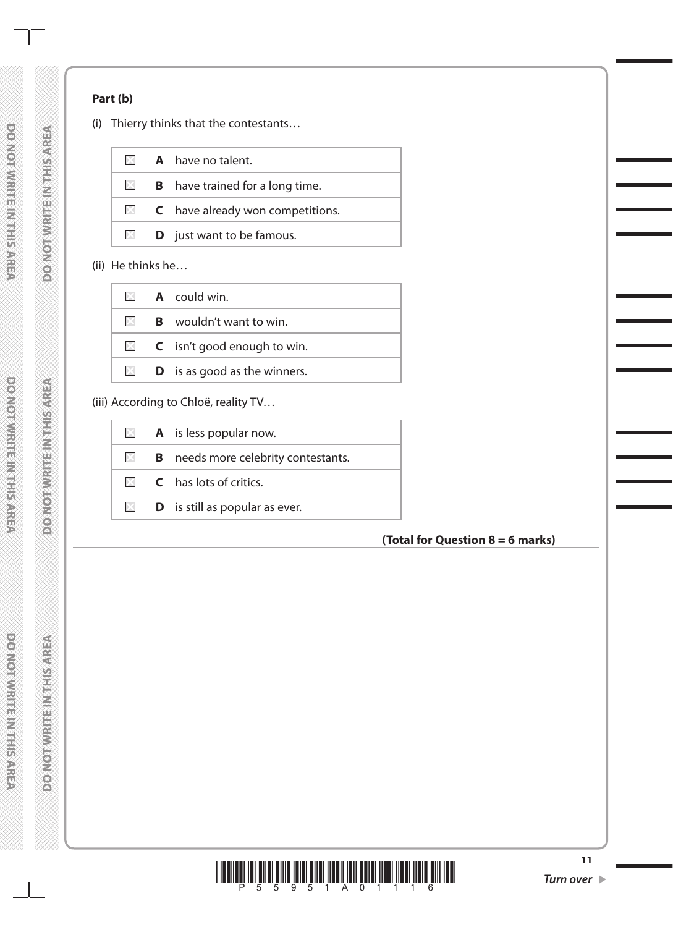## **Part (b)**

(i) Thierry thinks that the contestants…

|          | $\boxtimes$   A have no talent.                       |
|----------|-------------------------------------------------------|
|          | $\mathbb{Z}$   <b>B</b> have trained for a long time. |
| $\times$ | $\mathsf{C}$ have already won competitions.           |
|          | $\Box$ <b>D</b> just want to be famous.               |
|          |                                                       |

# (ii) He thinks he…

| $\times$                          | <b>A</b> could win.                 |
|-----------------------------------|-------------------------------------|
| $\times$                          | <b>B</b> wouldn't want to win.      |
| $\times$ $\overline{\phantom{0}}$ | <b>C</b> isn't good enough to win.  |
| $\times$                          | <b>D</b> is as good as the winners. |

# (iii) According to Chloë, reality TV…

| $\times$       | <b>A</b> is less popular now.              |
|----------------|--------------------------------------------|
| $\times$ .     | <b>B</b> needs more celebrity contestants. |
| $\mathsf{X}$ . | <b>C</b> has lots of critics.              |
| $\mathsf{X}$   | <b>D</b> is still as popular as ever.      |

## **(Total for Question 8 = 6 marks)**



**DO NOTWRITEINITISAREA** 

**CENTRAL PRODUCTIONS OF PRODUCT** 

**DO NOT WRITE/NATHS/AREA**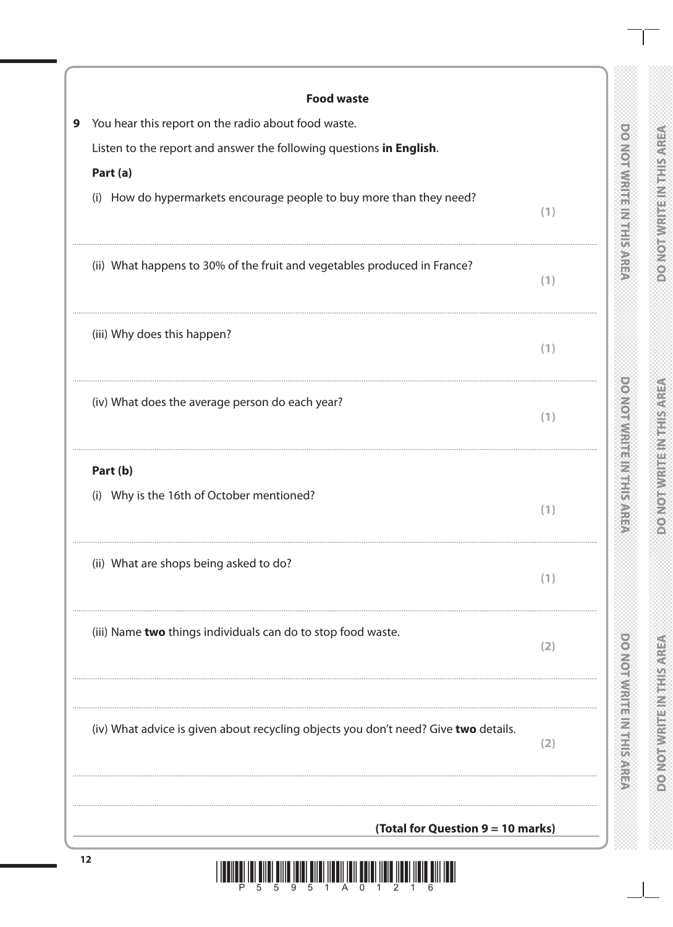| You hear this report on the radio about food waste.                      |                                                                                            |
|--------------------------------------------------------------------------|--------------------------------------------------------------------------------------------|
| Listen to the report and answer the following questions in English.      |                                                                                            |
| Part (a)                                                                 |                                                                                            |
| How do hypermarkets encourage people to buy more than they need?<br>(i)  | (1)                                                                                        |
| (ii) What happens to 30% of the fruit and vegetables produced in France? | (1)                                                                                        |
| (iii) Why does this happen?                                              | (1)                                                                                        |
| (iv) What does the average person do each year?                          | (1)                                                                                        |
| Part (b)                                                                 |                                                                                            |
| Why is the 16th of October mentioned?<br>(i)                             | (1)                                                                                        |
| (ii) What are shops being asked to do?                                   | (1)                                                                                        |
| (iii) Name two things individuals can do to stop food waste.             | (2)                                                                                        |
|                                                                          | (iv) What advice is given about recycling objects you don't need? Give two details.<br>(2) |
|                                                                          |                                                                                            |

**PONOTWRITEINTEISAREA** 

**PONOTWERFINITIS AREA** 

**DO NOT WRITE INTHIS AREA** 

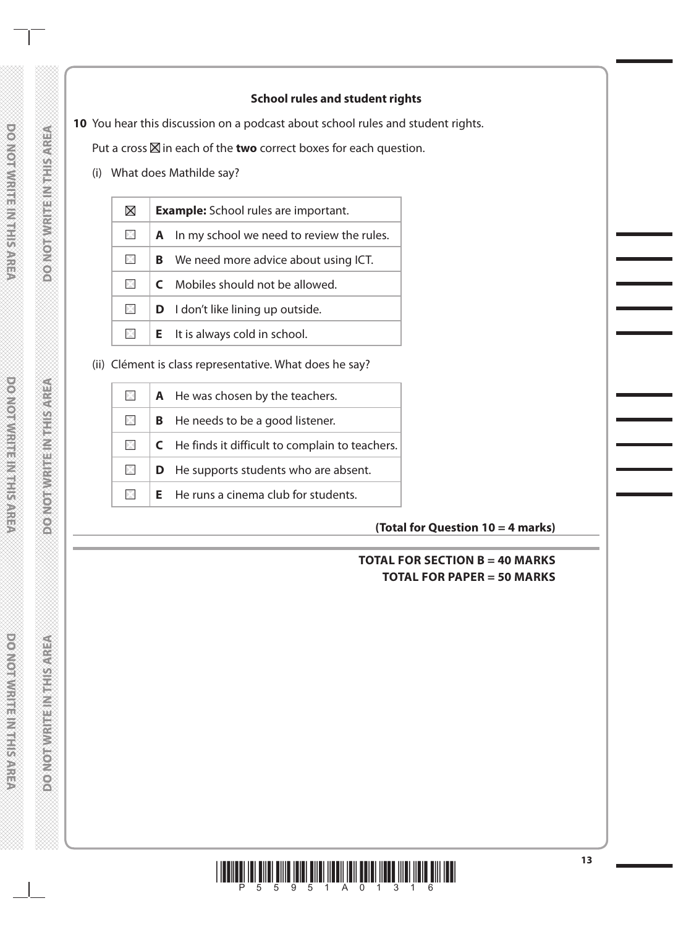### **School rules and student rights**

# **10** You hear this discussion on a podcast about school rules and student rights.

Put a cross  $\boxtimes$  in each of the **two** correct boxes for each question.

(i) What does Mathilde say?

| $\bowtie$ | <b>Example:</b> School rules are important. |                                                         |
|-----------|---------------------------------------------|---------------------------------------------------------|
| $\times$  |                                             | <b>A</b> In my school we need to review the rules.      |
| $\times$  | R                                           | We need more advice about using ICT.                    |
| $\times$  |                                             | <b>C</b> Mobiles should not be allowed.                 |
| $\times$  |                                             | <b>D</b> $\blacksquare$ I don't like lining up outside. |
| $\times$  |                                             | <b>E</b> It is always cold in school.                   |
|           |                                             |                                                         |

(ii) Clément is class representative. What does he say?

| $\mathbb{X}$ | A He was chosen by the teachers.                                 |
|--------------|------------------------------------------------------------------|
| $\times$     | <b>B</b> He needs to be a good listener.                         |
| $\times$     | $\mathsf{\mid C}$ He finds it difficult to complain to teachers. |
| $\times$     | <b>D</b> He supports students who are absent.                    |
| $\mathbb{X}$ | E He runs a cinema club for students.                            |

**(Total for Question 10 = 4 marks)**

# **TOTAL FOR SECTION B = 40 MARKS TOTAL FOR PAPER = 50 MARKS**

**DO NOTWRITEINITISAREA** 

**DOMORATE INTHIS AREA** 

**DOMOTWRITEINTHIS AREA**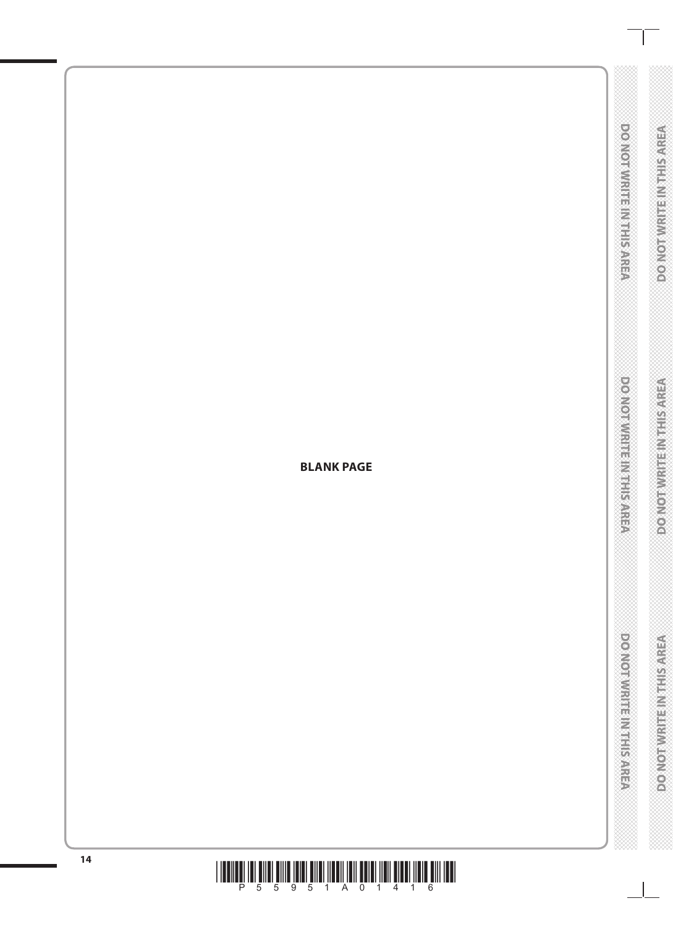**DONOTWRITEINTHISAREA** 

 $14$ 

# 

**BLANK PAGE**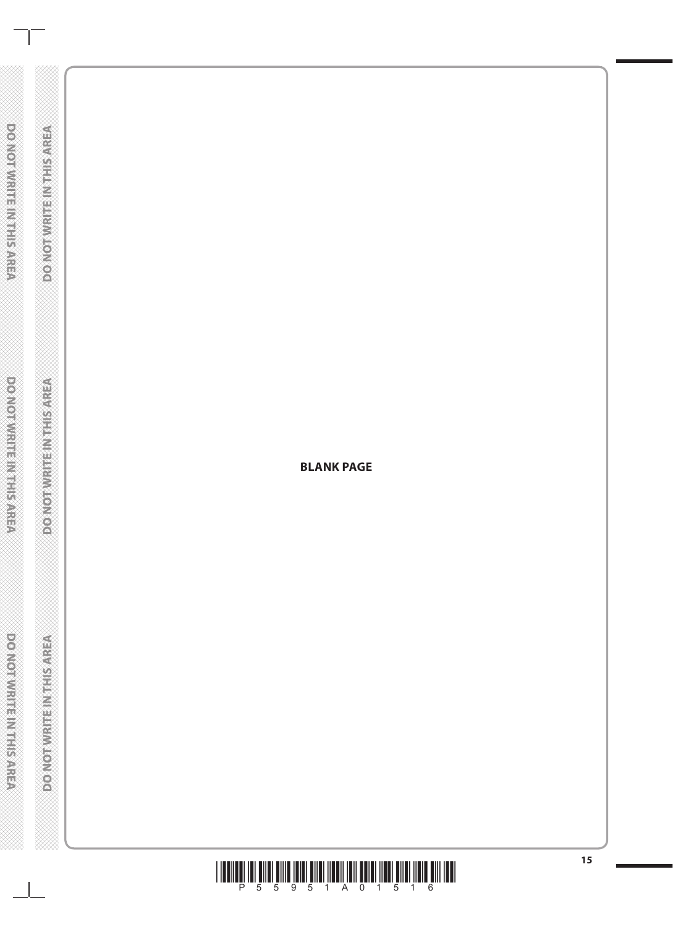$\sim 1$ 

**DO NOTWARE INTHIS AREA** 

**DO NOTAVALE INTERVERS** 

DO NOT WRITE IN THIS AREA

**BLANK PAGE**